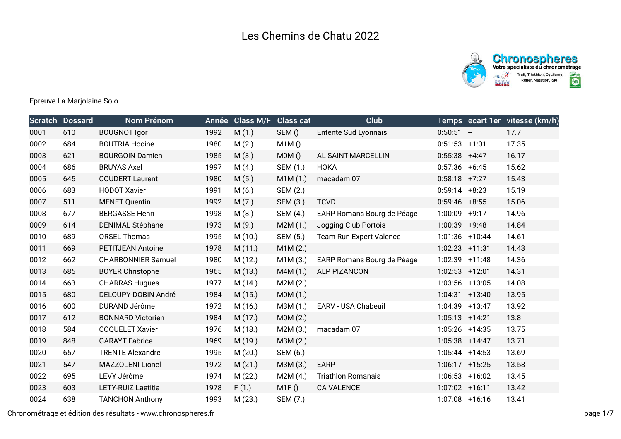

## Epreuve La Marjolaine Solo

|      | <b>Scratch Dossard</b> | Nom Prénom                | Année | <b>Class M/F</b> | <b>Class cat</b> | Club                       |                  | Temps ecart 1er vitesse (km/h) |
|------|------------------------|---------------------------|-------|------------------|------------------|----------------------------|------------------|--------------------------------|
| 0001 | 610                    | <b>BOUGNOT Igor</b>       | 1992  | M(1.)            | SEM()            | Entente Sud Lyonnais       | $0:50:51 -$      | 17.7                           |
| 0002 | 684                    | <b>BOUTRIA Hocine</b>     | 1980  | M(2.)            | M1M()            |                            | $0:51:53$ +1:01  | 17.35                          |
| 0003 | 621                    | <b>BOURGOIN Damien</b>    | 1985  | M(3.)            | MOM()            | AL SAINT-MARCELLIN         | $0:55:38$ +4:47  | 16.17                          |
| 0004 | 686                    | <b>BRUYAS Axel</b>        | 1997  | M(4.)            | SEM (1.)         | <b>HOKA</b>                | $0:57:36$ +6:45  | 15.62                          |
| 0005 | 645                    | <b>COUDERT Laurent</b>    | 1980  | M(5.)            | M1M(1.)          | macadam 07                 | $0:58:18$ +7:27  | 15.43                          |
| 0006 | 683                    | <b>HODOT Xavier</b>       | 1991  | M(6.)            | SEM (2.)         |                            | $0:59:14$ +8:23  | 15.19                          |
| 0007 | 511                    | <b>MENET Quentin</b>      | 1992  | M(7.)            | SEM (3.)         | <b>TCVD</b>                | $0:59:46$ +8:55  | 15.06                          |
| 0008 | 677                    | <b>BERGASSE Henri</b>     | 1998  | M(8.)            | SEM (4.)         | EARP Romans Bourg de Péage | $1:00:09$ +9:17  | 14.96                          |
| 0009 | 614                    | <b>DENIMAL Stéphane</b>   | 1973  | M(9.)            | M2M(1.)          | Jogging Club Portois       | $1:00:39$ +9:48  | 14.84                          |
| 0010 | 689                    | <b>ORSEL Thomas</b>       | 1995  | M(10.)           | SEM (5.)         | Team Run Expert Valence    | 1:01:36 +10:44   | 14.61                          |
| 0011 | 669                    | <b>PETITJEAN Antoine</b>  | 1978  | M(11.)           | M1M(2.)          |                            | 1:02:23 +11:31   | 14.43                          |
| 0012 | 662                    | <b>CHARBONNIER Samuel</b> | 1980  | M (12.)          | M1M(3.)          | EARP Romans Bourg de Péage | 1:02:39 +11:48   | 14.36                          |
| 0013 | 685                    | <b>BOYER Christophe</b>   | 1965  | M(13.)           | M4M(1.)          | <b>ALP PIZANCON</b>        | 1:02:53 +12:01   | 14.31                          |
| 0014 | 663                    | <b>CHARRAS Hugues</b>     | 1977  | M (14.)          | M2M(2.)          |                            | $1:03:56$ +13:05 | 14.08                          |
| 0015 | 680                    | DELOUPY-DOBIN André       | 1984  | M(15.)           | MOM(1.)          |                            | $1:04:31$ +13:40 | 13.95                          |
| 0016 | 600                    | DURAND Jérôme             | 1972  | M (16.)          | M3M (1.)         | EARV - USA Chabeuil        | 1:04:39 +13:47   | 13.92                          |
| 0017 | 612                    | <b>BONNARD Victorien</b>  | 1984  | M (17.)          | MOM(2.)          |                            | $1:05:13$ +14:21 | 13.8                           |
| 0018 | 584                    | <b>COQUELET Xavier</b>    | 1976  | M (18.)          | M2M(3.)          | macadam 07                 | $1:05:26$ +14:35 | 13.75                          |
| 0019 | 848                    | <b>GARAYT Fabrice</b>     | 1969  | M (19.)          | M3M (2.)         |                            | 1:05:38 +14:47   | 13.71                          |
| 0020 | 657                    | <b>TRENTE Alexandre</b>   | 1995  | M(20.)           | SEM (6.)         |                            | $1:05:44$ +14:53 | 13.69                          |
| 0021 | 547                    | MAZZOLENI Lionel          | 1972  | M(21.)           | M3M (3.)         | <b>EARP</b>                | $1:06:17$ +15:25 | 13.58                          |
| 0022 | 695                    | LEVY Jérôme               | 1974  | M (22.)          | M2M(4.)          | <b>Triathlon Romanais</b>  | $1:06:53$ +16:02 | 13.45                          |
| 0023 | 603                    | LETY-RUIZ Laetitia        | 1978  | F(1.)            | M1F()            | <b>CA VALENCE</b>          | 1:07:02 +16:11   | 13.42                          |
| 0024 | 638                    | <b>TANCHON Anthony</b>    | 1993  | M(23.)           | SEM (7.)         |                            | $1:07:08$ +16:16 | 13.41                          |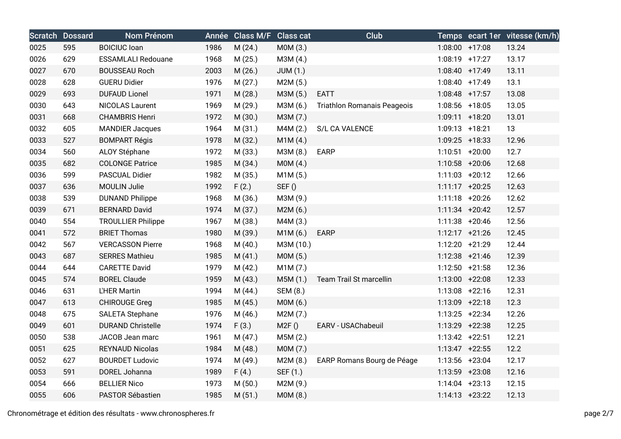|      | <b>Scratch Dossard</b> | Nom Prénom                |      | Année Class M/F Class cat |           | Club                               |                   | Temps ecart 1er vitesse (km/h) |
|------|------------------------|---------------------------|------|---------------------------|-----------|------------------------------------|-------------------|--------------------------------|
| 0025 | 595                    | <b>BOICIUC</b> loan       | 1986 | M(24.)                    | M0M (3.)  |                                    | $1:08:00$ +17:08  | 13.24                          |
| 0026 | 629                    | <b>ESSAMLALI Redouane</b> | 1968 | M(25.)                    | M3M (4.)  |                                    | 1:08:19 +17:27    | 13.17                          |
| 0027 | 670                    | <b>BOUSSEAU Roch</b>      | 2003 | M(26.)                    | JUM(1.)   |                                    | 1:08:40 +17:49    | 13.11                          |
| 0028 | 628                    | <b>GUERU Didier</b>       | 1976 | M(27.)                    | M2M(5.)   |                                    | 1:08:40 +17:49    | 13.1                           |
| 0029 | 693                    | <b>DUFAUD Lionel</b>      | 1971 | M (28.)                   | M3M (5.)  | <b>EATT</b>                        | 1:08:48 +17:57    | 13.08                          |
| 0030 | 643                    | <b>NICOLAS Laurent</b>    | 1969 | M (29.)                   | M3M (6.)  | <b>Triathlon Romanais Peageois</b> | 1:08:56 +18:05    | 13.05                          |
| 0031 | 668                    | <b>CHAMBRIS Henri</b>     | 1972 | M (30.)                   | M3M (7.)  |                                    | 1:09:11 +18:20    | 13.01                          |
| 0032 | 605                    | <b>MANDIER Jacques</b>    | 1964 | M (31.)                   | M4M (2.)  | S/L CA VALENCE                     | 1:09:13 +18:21    | 13                             |
| 0033 | 527                    | <b>BOMPART Régis</b>      | 1978 | M (32.)                   | M1M(4.)   |                                    | 1:09:25 +18:33    | 12.96                          |
| 0034 | 560                    | ALOY Stéphane             | 1972 | M (33.)                   | M3M (8.)  | <b>EARP</b>                        | $1:10:51$ +20:00  | 12.7                           |
| 0035 | 682                    | <b>COLONGE Patrice</b>    | 1985 | M (34.)                   | MOM(4.)   |                                    | 1:10:58 +20:06    | 12.68                          |
| 0036 | 599                    | PASCUAL Didier            | 1982 | M(35.)                    | M1M(5.)   |                                    | $1:11:03$ +20:12  | 12.66                          |
| 0037 | 636                    | <b>MOULIN Julie</b>       | 1992 | F(2.)                     | SEF()     |                                    | $1:11:17 + 20:25$ | 12.63                          |
| 0038 | 539                    | <b>DUNAND Philippe</b>    | 1968 | M (36.)                   | M3M (9.)  |                                    | $1:11:18$ +20:26  | 12.62                          |
| 0039 | 671                    | <b>BERNARD David</b>      | 1974 | M (37.)                   | M2M(6.)   |                                    | $1:11:34$ +20:42  | 12.57                          |
| 0040 | 554                    | <b>TROULLIER Philippe</b> | 1967 | M (38.)                   | M4M (3.)  |                                    | $1:11:38$ +20:46  | 12.56                          |
| 0041 | 572                    | <b>BRIET Thomas</b>       | 1980 | M (39.)                   | M1M(6.)   | <b>EARP</b>                        | $1:12:17 + 21:26$ | 12.45                          |
| 0042 | 567                    | <b>VERCASSON Pierre</b>   | 1968 | M(40.)                    | M3M (10.) |                                    | 1:12:20 +21:29    | 12.44                          |
| 0043 | 687                    | <b>SERRES Mathieu</b>     | 1985 | M(41.)                    | M0M (5.)  |                                    | 1:12:38 +21:46    | 12.39                          |
| 0044 | 644                    | <b>CARETTE David</b>      | 1979 | M(42.)                    | M1M(7.)   |                                    | $1:12:50 + 21:58$ | 12.36                          |
| 0045 | 574                    | <b>BOREL Claude</b>       | 1959 | M(43.)                    | M5M (1.)  | Team Trail St marcellin            | 1:13:00 +22:08    | 12.33                          |
| 0046 | 631                    | L'HER Martin              | 1994 | M(44.)                    | SEM (8.)  |                                    | $1:13:08$ +22:16  | 12.31                          |
| 0047 | 613                    | <b>CHIROUGE Greg</b>      | 1985 | M(45.)                    | MOM(6.)   |                                    | 1:13:09 +22:18    | 12.3                           |
| 0048 | 675                    | <b>SALETA Stephane</b>    | 1976 | M (46.)                   | M2M (7.)  |                                    | $1:13:25$ +22:34  | 12.26                          |
| 0049 | 601                    | <b>DURAND Christelle</b>  | 1974 | F(3.)                     | M2F()     | EARV - USAChabeuil                 | 1:13:29 +22:38    | 12.25                          |
| 0050 | 538                    | JACOB Jean marc           | 1961 | M(47.)                    | M5M (2.)  |                                    | $1:13:42 +22:51$  | 12.21                          |
| 0051 | 625                    | <b>REYNAUD Nicolas</b>    | 1984 | M (48.)                   | M0M (7.)  |                                    | $1:13:47$ +22:55  | 12.2                           |
| 0052 | 627                    | <b>BOURDET Ludovic</b>    | 1974 | M (49.)                   | M2M(8.)   | EARP Romans Bourg de Péage         | $1:13:56$ +23:04  | 12.17                          |
| 0053 | 591                    | DOREL Johanna             | 1989 | F(4.)                     | SEF (1.)  |                                    | 1:13:59 +23:08    | 12.16                          |
| 0054 | 666                    | <b>BELLIER Nico</b>       | 1973 | M(50.)                    | M2M (9.)  |                                    | $1:14:04$ +23:13  | 12.15                          |
| 0055 | 606                    | PASTOR Sébastien          | 1985 | M(51.)                    | M0M (8.)  |                                    | $1:14:13 + 23:22$ | 12.13                          |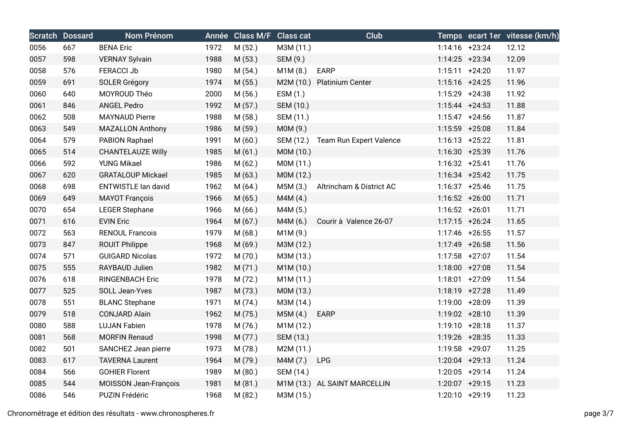|      | <b>Scratch Dossard</b> | Nom Prénom                 |      | Année Class M/F Class cat |           | Club                         |                   | Temps ecart 1er vitesse (km/h) |
|------|------------------------|----------------------------|------|---------------------------|-----------|------------------------------|-------------------|--------------------------------|
| 0056 | 667                    | <b>BENA Eric</b>           | 1972 | M (52.)                   | M3M (11.) |                              | $1:14:16$ +23:24  | 12.12                          |
| 0057 | 598                    | <b>VERNAY Sylvain</b>      | 1988 | M (53.)                   | SEM (9.)  |                              | $1:14:25$ +23:34  | 12.09                          |
| 0058 | 576                    | <b>FERACCI Jb</b>          | 1980 | M(54.)                    | M1M(8.)   | <b>EARP</b>                  | $1:15:11 + 24:20$ | 11.97                          |
| 0059 | 691                    | <b>SOLER Grégory</b>       | 1974 | M(55.)                    |           | M2M (10.) Platinium Center   | $1:15:16$ +24:25  | 11.96                          |
| 0060 | 640                    | MOYROUD Théo               | 2000 | M(56.)                    | ESM (1.)  |                              | 1:15:29 +24:38    | 11.92                          |
| 0061 | 846                    | <b>ANGEL Pedro</b>         | 1992 | M(57.)                    | SEM (10.) |                              | $1:15:44$ +24:53  | 11.88                          |
| 0062 | 508                    | <b>MAYNAUD Pierre</b>      | 1988 | M (58.)                   | SEM (11.) |                              | $1:15:47$ +24:56  | 11.87                          |
| 0063 | 549                    | <b>MAZALLON Anthony</b>    | 1986 | M (59.)                   | M0M (9.)  |                              | 1:15:59 +25:08    | 11.84                          |
| 0064 | 579                    | PABION Raphael             | 1991 | M(60.)                    | SEM (12.) | Team Run Expert Valence      | $1:16:13 + 25:22$ | 11.81                          |
| 0065 | 514                    | <b>CHANTELAUZE Willy</b>   | 1985 | M(61.)                    | M0M (10.) |                              | $1:16:30 + 25:39$ | 11.76                          |
| 0066 | 592                    | <b>YUNG Mikael</b>         | 1986 | M(62.)                    | M0M (11.) |                              | $1:16:32 +25:41$  | 11.76                          |
| 0067 | 620                    | <b>GRATALOUP Mickael</b>   | 1985 | M(63.)                    | M0M (12.) |                              | $1:16:34$ +25:42  | 11.75                          |
| 0068 | 698                    | <b>ENTWISTLE lan david</b> | 1962 | M(64.)                    | M5M (3.)  | Altrincham & District AC     | $1:16:37 + 25:46$ | 11.75                          |
| 0069 | 649                    | <b>MAYOT François</b>      | 1966 | M(65.)                    | M4M (4.)  |                              | 1:16:52 +26:00    | 11.71                          |
| 0070 | 654                    | <b>LEGER Stephane</b>      | 1966 | M(66.)                    | M4M (5.)  |                              | $1:16:52 + 26:01$ | 11.71                          |
| 0071 | 616                    | <b>EVIN Eric</b>           | 1964 | M(67.)                    | M4M (6.)  | Courir à Valence 26-07       | $1:17:15$ +26:24  | 11.65                          |
| 0072 | 563                    | <b>RENOUL Francois</b>     | 1979 | M(68.)                    | M1M (9.)  |                              | 1:17:46 +26:55    | 11.57                          |
| 0073 | 847                    | <b>ROUIT Philippe</b>      | 1968 | M(69.)                    | M3M (12.) |                              | 1:17:49 +26:58    | 11.56                          |
| 0074 | 571                    | <b>GUIGARD Nicolas</b>     | 1972 | M(70.)                    | M3M (13.) |                              | 1:17:58 +27:07    | 11.54                          |
| 0075 | 555                    | RAYBAUD Julien             | 1982 | M(71.)                    | M1M (10.) |                              | 1:18:00 +27:08    | 11.54                          |
| 0076 | 618                    | <b>RINGENBACH Eric</b>     | 1978 | M (72.)                   | M1M (11.) |                              | 1:18:01 +27:09    | 11.54                          |
| 0077 | 525                    | SOLL Jean-Yves             | 1987 | M (73.)                   | M0M (13.) |                              | $1:18:19$ +27:28  | 11.49                          |
| 0078 | 551                    | <b>BLANC Stephane</b>      | 1971 | M(74.)                    | M3M (14.) |                              | 1:19:00 +28:09    | 11.39                          |
| 0079 | 518                    | <b>CONJARD Alain</b>       | 1962 | M (75.)                   | M5M (4.)  | EARP                         | 1:19:02 +28:10    | 11.39                          |
| 0080 | 588                    | <b>LUJAN Fabien</b>        | 1978 | M (76.)                   | M1M (12.) |                              | $1:19:10 + 28:18$ | 11.37                          |
| 0081 | 568                    | <b>MORFIN Renaud</b>       | 1998 | M (77.)                   | SEM (13.) |                              | 1:19:26 +28:35    | 11.33                          |
| 0082 | 501                    | SANCHEZ Jean pierre        | 1973 | M (78.)                   | M2M (11.) |                              | 1:19:58 +29:07    | 11.25                          |
| 0083 | 617                    | <b>TAVERNA Laurent</b>     | 1964 | M (79.)                   | M4M (7.)  | <b>LPG</b>                   | $1:20:04$ +29:13  | 11.24                          |
| 0084 | 566                    | <b>GOHIER Florent</b>      | 1989 | M(80.)                    | SEM (14.) |                              | 1:20:05 +29:14    | 11.24                          |
| 0085 | 544                    | MOISSON Jean-François      | 1981 | M(81.)                    |           | M1M (13.) AL SAINT MARCELLIN | 1:20:07 +29:15    | 11.23                          |
| 0086 | 546                    | PUZIN Frédéric             | 1968 | M(82.)                    | M3M (15.) |                              | 1:20:10 +29:19    | 11.23                          |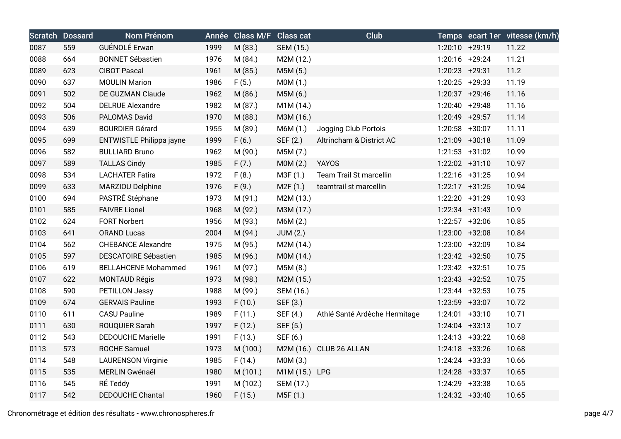|      | <b>Scratch Dossard</b> | Nom Prénom                  |      | Année Class M/F Class cat |                 | Club                           |                   | Temps ecart 1er vitesse (km/h) |
|------|------------------------|-----------------------------|------|---------------------------|-----------------|--------------------------------|-------------------|--------------------------------|
| 0087 | 559                    | GUÉNOLÉ Erwan               | 1999 | M (83.)                   | SEM (15.)       |                                | 1:20:10 +29:19    | 11.22                          |
| 0088 | 664                    | <b>BONNET Sébastien</b>     | 1976 | M (84.)                   | M2M (12.)       |                                | 1:20:16 +29:24    | 11.21                          |
| 0089 | 623                    | <b>CIBOT Pascal</b>         | 1961 | M (85.)                   | M5M (5.)        |                                | 1:20:23 +29:31    | 11.2                           |
| 0090 | 637                    | <b>MOULIN Marion</b>        | 1986 | F(5.)                     | MOM(1.)         |                                | $1:20:25$ +29:33  | 11.19                          |
| 0091 | 502                    | DE GUZMAN Claude            | 1962 | M (86.)                   | M5M (6.)        |                                | $1:20:37$ +29:46  | 11.16                          |
| 0092 | 504                    | <b>DELRUE Alexandre</b>     | 1982 | M (87.)                   | M1M (14.)       |                                | $1:20:40 + 29:48$ | 11.16                          |
| 0093 | 506                    | PALOMAS David               | 1970 | M (88.)                   | M3M (16.)       |                                | 1:20:49 +29:57    | 11.14                          |
| 0094 | 639                    | <b>BOURDIER Gérard</b>      | 1955 | M (89.)                   | M6M (1.)        | Jogging Club Portois           | 1:20:58 +30:07    | 11.11                          |
| 0095 | 699                    | ENTWISTLE Philippa jayne    | 1999 | F(6.)                     | SEF (2.)        | Altrincham & District AC       | 1:21:09 +30:18    | 11.09                          |
| 0096 | 582                    | <b>BULLIARD Bruno</b>       | 1962 | M (90.)                   | M5M (7.)        |                                | $1:21:53$ +31:02  | 10.99                          |
| 0097 | 589                    | <b>TALLAS Cindy</b>         | 1985 | F(7.)                     | MOM(2.)         | <b>YAYOS</b>                   | 1:22:02 +31:10    | 10.97                          |
| 0098 | 534                    | <b>LACHATER Fatira</b>      | 1972 | F(8.)                     | M3F (1.)        | <b>Team Trail St marcellin</b> | $1:22:16$ +31:25  | 10.94                          |
| 0099 | 633                    | MARZIOU Delphine            | 1976 | F(9.)                     | M2F(1.)         | teamtrail st marcellin         | $1:22:17$ +31:25  | 10.94                          |
| 0100 | 694                    | PASTRÉ Stéphane             | 1973 | M (91.)                   | M2M (13.)       |                                | 1:22:20 +31:29    | 10.93                          |
| 0101 | 585                    | <b>FAIVRE Lionel</b>        | 1968 | M (92.)                   | M3M (17.)       |                                | $1:22:34$ +31:43  | 10.9                           |
| 0102 | 624                    | <b>FORT Norbert</b>         | 1956 | M (93.)                   | M6M (2.)        |                                | 1:22:57 +32:06    | 10.85                          |
| 0103 | 641                    | <b>ORAND Lucas</b>          | 2004 | M (94.)                   | <b>JUM (2.)</b> |                                | 1:23:00 +32:08    | 10.84                          |
| 0104 | 562                    | <b>CHEBANCE Alexandre</b>   | 1975 | M (95.)                   | M2M (14.)       |                                | 1:23:00 +32:09    | 10.84                          |
| 0105 | 597                    | <b>DESCATOIRE Sébastien</b> | 1985 | M (96.)                   | M0M (14.)       |                                | 1:23:42 +32:50    | 10.75                          |
| 0106 | 619                    | <b>BELLAHCENE Mohammed</b>  | 1961 | M (97.)                   | M5M (8.)        |                                | $1:23:42$ +32:51  | 10.75                          |
| 0107 | 622                    | <b>MONTAUD Régis</b>        | 1973 | M (98.)                   | M2M (15.)       |                                | $1:23:43$ +32:52  | 10.75                          |
| 0108 | 590                    | PETILLON Jessy              | 1988 | M (99.)                   | SEM (16.)       |                                | $1:23:44$ +32:53  | 10.75                          |
| 0109 | 674                    | <b>GERVAIS Pauline</b>      | 1993 | F(10.)                    | SEF (3.)        |                                | 1:23:59 +33:07    | 10.72                          |
| 0110 | 611                    | <b>CASU Pauline</b>         | 1989 | F(11.)                    | SEF (4.)        | Athlé Santé Ardèche Hermitage  | $1:24:01$ +33:10  | 10.71                          |
| 0111 | 630                    | ROUQUIER Sarah              | 1997 | F(12.)                    | SEF (5.)        |                                | $1:24:04$ +33:13  | 10.7                           |
| 0112 | 543                    | <b>DEDOUCHE Marielle</b>    | 1991 | F(13.)                    | SEF (6.)        |                                | $1:24:13 +33:22$  | 10.68                          |
| 0113 | 573                    | <b>ROCHE Samuel</b>         | 1973 | M (100.)                  |                 | M2M (16.) CLUB 26 ALLAN        | 1:24:18 +33:26    | 10.68                          |
| 0114 | 548                    | <b>LAURENSON Virginie</b>   | 1985 | F(14.)                    | M0M (3.)        |                                | $1:24:24$ +33:33  | 10.66                          |
| 0115 | 535                    | MERLIN Gwénaël              | 1980 | M (101.)                  | M1M (15.) LPG   |                                | 1:24:28 +33:37    | 10.65                          |
| 0116 | 545                    | RÉ Teddy                    | 1991 | M (102.)                  | SEM (17.)       |                                | 1:24:29 +33:38    | 10.65                          |
| 0117 | 542                    | <b>DEDOUCHE Chantal</b>     | 1960 | F(15.)                    | M5F (1.)        |                                | $1:24:32 +33:40$  | 10.65                          |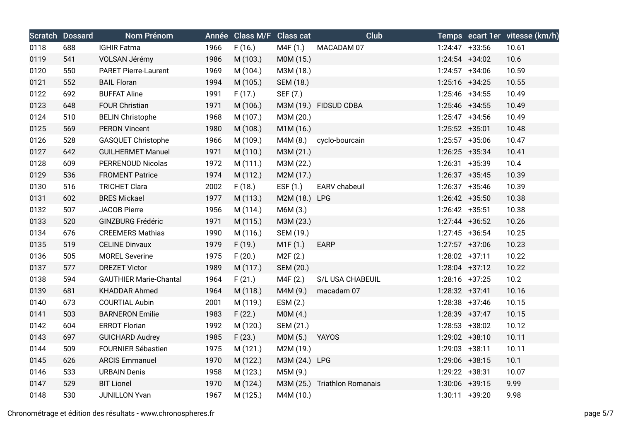|      | <b>Scratch Dossard</b> | Nom Prénom                    |      | Année Class M/F Class cat |               | <b>Club</b>                  |                   | Temps ecart 1er vitesse (km/h) |
|------|------------------------|-------------------------------|------|---------------------------|---------------|------------------------------|-------------------|--------------------------------|
| 0118 | 688                    | <b>IGHIR Fatma</b>            | 1966 | F(16.)                    | M4F (1.)      | MACADAM 07                   | $1:24:47$ +33:56  | 10.61                          |
| 0119 | 541                    | VOLSAN Jérémy                 | 1986 | M (103.)                  | M0M (15.)     |                              | $1:24:54$ +34:02  | 10.6                           |
| 0120 | 550                    | <b>PARET Pierre-Laurent</b>   | 1969 | M (104.)                  | M3M (18.)     |                              | $1:24:57$ +34:06  | 10.59                          |
| 0121 | 552                    | <b>BAIL Floran</b>            | 1994 | M (105.)                  | SEM (18.)     |                              | $1:25:16$ +34:25  | 10.55                          |
| 0122 | 692                    | <b>BUFFAT Aline</b>           | 1991 | F(17.)                    | SEF (7.)      |                              | $1:25:46$ +34:55  | 10.49                          |
| 0123 | 648                    | <b>FOUR Christian</b>         | 1971 | M (106.)                  |               | M3M (19.) FIDSUD CDBA        | 1:25:46 +34:55    | 10.49                          |
| 0124 | 510                    | <b>BELIN Christophe</b>       | 1968 | M (107.)                  | M3M (20.)     |                              | $1:25:47$ +34:56  | 10.49                          |
| 0125 | 569                    | <b>PERON Vincent</b>          | 1980 | M (108.)                  | M1M (16.)     |                              | 1:25:52 +35:01    | 10.48                          |
| 0126 | 528                    | <b>GASQUET Christophe</b>     | 1966 | M (109.)                  | M4M (8.)      | cyclo-bourcain               | 1:25:57 +35:06    | 10.47                          |
| 0127 | 642                    | <b>GUILHERMET Manuel</b>      | 1971 | M (110.)                  | M3M (21.)     |                              | $1:26:25$ +35:34  | 10.41                          |
| 0128 | 609                    | <b>PERRENOUD Nicolas</b>      | 1972 | M (111.)                  | M3M (22.)     |                              | 1:26:31 +35:39    | 10.4                           |
| 0129 | 536                    | <b>FROMENT Patrice</b>        | 1974 | M (112.)                  | M2M (17.)     |                              | $1:26:37$ +35:45  | 10.39                          |
| 0130 | 516                    | <b>TRICHET Clara</b>          | 2002 | F(18.)                    | ESF $(1.)$    | EARV chabeuil                | $1:26:37$ +35:46  | 10.39                          |
| 0131 | 602                    | <b>BRES Mickael</b>           | 1977 | M (113.)                  | M2M (18.) LPG |                              | 1:26:42 +35:50    | 10.38                          |
| 0132 | 507                    | <b>JACOB Pierre</b>           | 1956 | M (114.)                  | M6M (3.)      |                              | $1:26:42$ +35:51  | 10.38                          |
| 0133 | 520                    | <b>GINZBURG Frédéric</b>      | 1971 | M (115.)                  | M3M (23.)     |                              | $1:27:44$ +36:52  | 10.26                          |
| 0134 | 676                    | <b>CREEMERS Mathias</b>       | 1990 | M (116.)                  | SEM (19.)     |                              | $1:27:45$ +36:54  | 10.25                          |
| 0135 | 519                    | <b>CELINE Dinvaux</b>         | 1979 | F(19.)                    | M1F(1.)       | EARP                         | $1:27:57$ +37:06  | 10.23                          |
| 0136 | 505                    | <b>MOREL Severine</b>         | 1975 | F(20.)                    | M2F(2.)       |                              | $1:28:02$ +37:11  | 10.22                          |
| 0137 | 577                    | <b>DREZET Victor</b>          | 1989 | M (117.)                  | SEM (20.)     |                              | $1:28:04$ +37:12  | 10.22                          |
| 0138 | 594                    | <b>GAUTHIER Marie-Chantal</b> | 1964 | F(21.)                    | M4F (2.)      | S/L USA CHABEUIL             | $1:28:16$ +37:25  | 10.2                           |
| 0139 | 681                    | <b>KHADDAR Ahmed</b>          | 1964 | M (118.)                  | M4M (9.)      | macadam 07                   | 1:28:32 +37:41    | 10.16                          |
| 0140 | 673                    | <b>COURTIAL Aubin</b>         | 2001 | M (119.)                  | ESM(2.)       |                              | $1:28:38$ +37:46  | 10.15                          |
| 0141 | 503                    | <b>BARNERON Emilie</b>        | 1983 | F(22.)                    | MOM(4.)       |                              | 1:28:39 +37:47    | 10.15                          |
| 0142 | 604                    | <b>ERROT Florian</b>          | 1992 | M (120.)                  | SEM (21.)     |                              | $1:28:53$ +38:02  | 10.12                          |
| 0143 | 697                    | <b>GUICHARD Audrey</b>        | 1985 | F(23.)                    | M0M (5.)      | <b>YAYOS</b>                 | 1:29:02 +38:10    | 10.11                          |
| 0144 | 509                    | <b>FOURNIER Sébastien</b>     | 1975 | M (121.)                  | M2M (19.)     |                              | 1:29:03 +38:11    | 10.11                          |
| 0145 | 626                    | <b>ARCIS Emmanuel</b>         | 1970 | M (122.)                  | M3M (24.) LPG |                              | 1:29:06 +38:15    | 10.1                           |
| 0146 | 533                    | <b>URBAIN Denis</b>           | 1958 | M (123.)                  | M5M (9.)      |                              | 1:29:22 +38:31    | 10.07                          |
| 0147 | 529                    | <b>BIT Lionel</b>             | 1970 | M (124.)                  |               | M3M (25.) Triathlon Romanais | $1:30:06$ +39:15  | 9.99                           |
| 0148 | 530                    | <b>JUNILLON Yvan</b>          | 1967 | M (125.)                  | M4M (10.)     |                              | $1:30:11 + 39:20$ | 9.98                           |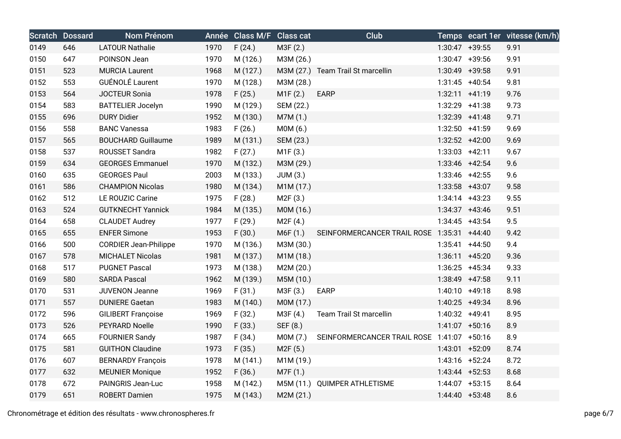|      | <b>Scratch Dossard</b> | Nom Prénom                   |      | Année Class M/F Class cat |                       | Club                                       |                   | Temps ecart 1er vitesse (km/h) |
|------|------------------------|------------------------------|------|---------------------------|-----------------------|--------------------------------------------|-------------------|--------------------------------|
| 0149 | 646                    | <b>LATOUR Nathalie</b>       | 1970 | F(24.)                    | M3F (2.)              |                                            | 1:30:47 +39:55    | 9.91                           |
| 0150 | 647                    | POINSON Jean                 | 1970 | M (126.)                  | M3M (26.)             |                                            | 1:30:47 +39:56    | 9.91                           |
| 0151 | 523                    | <b>MURCIA Laurent</b>        | 1968 | M (127.)                  |                       | M3M (27.) Team Trail St marcellin          | 1:30:49 +39:58    | 9.91                           |
| 0152 | 553                    | GUÉNOLÉ Laurent              | 1970 | M (128.)                  | M3M (28.)             |                                            | $1:31:45$ +40:54  | 9.81                           |
| 0153 | 564                    | <b>JOCTEUR Sonia</b>         | 1978 | F(25.)                    | M1F(2.)               | <b>EARP</b>                                | $1:32:11 + 41:19$ | 9.76                           |
| 0154 | 583                    | <b>BATTELIER Jocelyn</b>     | 1990 | M (129.)                  | SEM (22.)             |                                            | 1:32:29 +41:38    | 9.73                           |
| 0155 | 696                    | <b>DURY Didier</b>           | 1952 | M (130.)                  | M7M (1.)              |                                            | 1:32:39 +41:48    | 9.71                           |
| 0156 | 558                    | <b>BANC Vanessa</b>          | 1983 | F(26.)                    | MOM(6.)               |                                            | 1:32:50 +41:59    | 9.69                           |
| 0157 | 565                    | <b>BOUCHARD Guillaume</b>    | 1989 | M (131.)                  | SEM (23.)             |                                            | 1:32:52 +42:00    | 9.69                           |
| 0158 | 537                    | ROUSSET Sandra               | 1982 | F(27.)                    | M1F(3.)               |                                            | $1:33:03$ +42:11  | 9.67                           |
| 0159 | 634                    | <b>GEORGES Emmanuel</b>      | 1970 | M (132.)                  | M3M (29.)             |                                            | 1:33:46 +42:54    | 9.6                            |
| 0160 | 635                    | <b>GEORGES Paul</b>          | 2003 | M (133.)                  | JUM(3.)               |                                            | 1:33:46 +42:55    | 9.6                            |
| 0161 | 586                    | <b>CHAMPION Nicolas</b>      | 1980 | M (134.)                  | M1M (17.)             |                                            | 1:33:58 +43:07    | 9.58                           |
| 0162 | 512                    | LE ROUZIC Carine             | 1975 | F(28.)                    | M2F(3.)               |                                            | $1:34:14$ +43:23  | 9.55                           |
| 0163 | 524                    | <b>GUTKNECHT Yannick</b>     | 1984 | M (135.)                  | M0M (16.)             |                                            | $1:34:37$ +43:46  | 9.51                           |
| 0164 | 658                    | <b>CLAUDET Audrey</b>        | 1977 | F(29.)                    | M2F(4.)               |                                            | $1:34:45$ +43:54  | 9.5                            |
| 0165 | 655                    | <b>ENFER Simone</b>          | 1953 | F(30.)                    | M6F(1.)               | SEINFORMERCANCER TRAIL ROSE 1:35:31 +44:40 |                   | 9.42                           |
| 0166 | 500                    | <b>CORDIER Jean-Philippe</b> | 1970 | M (136.)                  | M3M (30.)             |                                            | $1:35:41 +44:50$  | 9.4                            |
| 0167 | 578                    | <b>MICHALET Nicolas</b>      | 1981 | M (137.)                  | M1M (18.)             |                                            | $1:36:11 + 45:20$ | 9.36                           |
| 0168 | 517                    | <b>PUGNET Pascal</b>         | 1973 | M (138.)                  | M2M (20.)             |                                            | $1:36:25$ +45:34  | 9.33                           |
| 0169 | 580                    | <b>SARDA Pascal</b>          | 1962 | M (139.)                  | M5M (10.)             |                                            | 1:38:49 +47:58    | 9.11                           |
| 0170 | 531                    | <b>JUVENON Jeanne</b>        | 1969 | F(31.)                    | M3F (3.)              | <b>EARP</b>                                | $1:40:10 + 49:18$ | 8.98                           |
| 0171 | 557                    | <b>DUNIERE Gaetan</b>        | 1983 | M (140.)                  | M0M (17.)             |                                            | 1:40:25 +49:34    | 8.96                           |
| 0172 | 596                    | <b>GILIBERT Françoise</b>    | 1969 | F(32.)                    | M3F (4.)              | Team Trail St marcellin                    | 1:40:32 +49:41    | 8.95                           |
| 0173 | 526                    | <b>PEYRARD Noelle</b>        | 1990 | F(33.)                    | SEF (8.)              |                                            | $1:41:07$ +50:16  | 8.9                            |
| 0174 | 665                    | <b>FOURNIER Sandy</b>        | 1987 | F(34.)                    | M0M (7.)              | SEINFORMERCANCER TRAIL ROSE 1:41:07 +50:16 |                   | 8.9                            |
| 0175 | 581                    | <b>GUITHON Claudine</b>      | 1973 | F(35.)                    | M <sub>2</sub> F (5.) |                                            | 1:43:01 +52:09    | 8.74                           |
| 0176 | 607                    | <b>BERNARDY François</b>     | 1978 | M (141.)                  | M1M (19.)             |                                            | $1:43:16$ +52:24  | 8.72                           |
| 0177 | 632                    | <b>MEUNIER Monique</b>       | 1952 | F(36.)                    | M7F (1.)              |                                            | $1:43:44$ +52:53  | 8.68                           |
| 0178 | 672                    | PAINGRIS Jean-Luc            | 1958 | M (142.)                  |                       | M5M (11.) QUIMPER ATHLETISME               | $1:44:07$ +53:15  | 8.64                           |
| 0179 | 651                    | <b>ROBERT Damien</b>         | 1975 | M (143.)                  | M2M (21.)             |                                            | $1:44:40 +53:48$  | 8.6                            |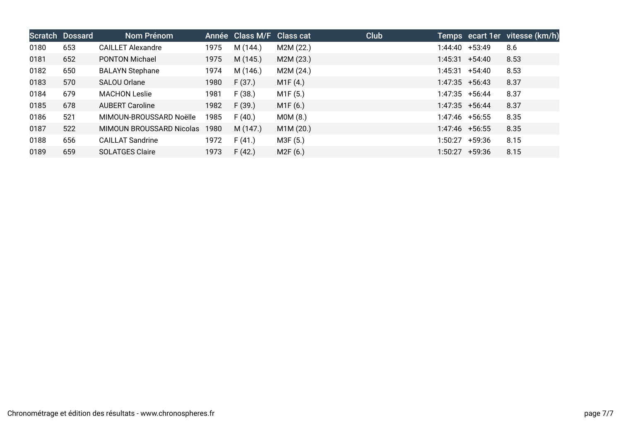|      | Scratch Dossard | Nom Prénom               |      | Année Class M/F Class cat |           | Club |                  |        | Temps ecart 1er vitesse (km/h) |
|------|-----------------|--------------------------|------|---------------------------|-----------|------|------------------|--------|--------------------------------|
| 0180 | 653             | <b>CAILLET Alexandre</b> | 1975 | M (144.)                  | M2M (22.) |      | 1:44:40 +53:49   |        | 8.6                            |
| 0181 | 652             | <b>PONTON Michael</b>    | 1975 | M (145.)                  | M2M (23.) |      | $1:45:31 +54:40$ |        | 8.53                           |
| 0182 | 650             | <b>BALAYN Stephane</b>   | 1974 | M (146.)                  | M2M (24.) |      | $1:45:31 +54:40$ |        | 8.53                           |
| 0183 | 570             | <b>SALOU Orlane</b>      | 1980 | F(37.)                    | M1F(4.)   |      | $1:47:35$ +56:43 |        | 8.37                           |
| 0184 | 679             | <b>MACHON Leslie</b>     | 1981 | F(38.)                    | M1F (5.)  |      | $1:47:35$ +56:44 |        | 8.37                           |
| 0185 | 678             | <b>AUBERT Caroline</b>   | 1982 | F(39.)                    | M1F(6.)   |      | $1:47:35$ +56:44 |        | 8.37                           |
| 0186 | 521             | MIMOUN-BROUSSARD Noëlle  | 1985 | F(40.)                    | MOM(8.)   |      | $1:47:46$ +56:55 |        | 8.35                           |
| 0187 | 522             | MIMOUN BROUSSARD Nicolas | 1980 | M (147.)                  | M1M (20.) |      | $1:47:46$ +56:55 |        | 8.35                           |
| 0188 | 656             | <b>CAILLAT Sandrine</b>  | 1972 | F(41.)                    | M3F (5.)  |      | $1:50:27$ +59:36 |        | 8.15                           |
| 0189 | 659             | <b>SOLATGES Claire</b>   | 1973 | F(42.)                    | M2F(6.)   |      | 1:50:27          | +59:36 | 8.15                           |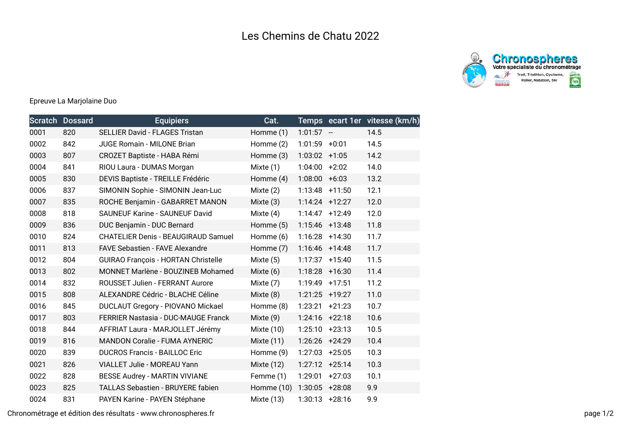



## Epreuve La Marjolaine Duo

|      | Scratch Dossard | <b>Equipiers</b>                           | Cat.         |                   |          | Temps ecart 1er vitesse (km/h) |
|------|-----------------|--------------------------------------------|--------------|-------------------|----------|--------------------------------|
| 0001 | 820             | <b>SELLIER David - FLAGES Tristan</b>      | Homme (1)    | $1:01:57 -$       |          | 14.5                           |
| 0002 | 842             | <b>JUGE Romain - MILONE Brian</b>          | Homme (2)    | $1:01:59$ +0:01   |          | 14.5                           |
| 0003 | 807             | <b>CROZET Baptiste - HABA Rémi</b>         | Homme (3)    | $1:03:02$ +1:05   |          | 14.2                           |
| 0004 | 841             | RIOU Laura - DUMAS Morgan                  | Mixte (1)    | $1:04:00$ +2:02   |          | 14.0                           |
| 0005 | 830             | DEVIS Baptiste - TREILLE Frédéric          | Homme (4)    | $1:08:00 + 6:03$  |          | 13.2                           |
| 0006 | 837             | SIMONIN Sophie - SIMONIN Jean-Luc          | Mixte (2)    | $1:13:48$ +11:50  |          | 12.1                           |
| 0007 | 835             | ROCHE Benjamin - GABARRET MANON            | Mixte $(3)$  | $1:14:24$ +12:27  |          | 12.0                           |
| 0008 | 818             | <b>SAUNEUF Karine - SAUNEUF David</b>      | Mixte $(4)$  | $1:14:47$ +12:49  |          | 12.0                           |
| 0009 | 836             | DUC Benjamin - DUC Bernard                 | Homme (5)    | $1:15:46$ +13:48  |          | 11.8                           |
| 0010 | 824             | <b>CHATELIER Denis - BEAUGIRAUD Samuel</b> | Homme (6)    | $1:16:28$ +14:30  |          | 11.7                           |
| 0011 | 813             | FAVE Sebastien - FAVE Alexandre            | Homme (7)    | $1:16:46$ +14:48  |          | 11.7                           |
| 0012 | 804             | <b>GUIRAO François - HORTAN Christelle</b> | Mixte $(5)$  | $1:17:37$ +15:40  |          | 11.5                           |
| 0013 | 802             | MONNET Marlène - BOUZINEB Mohamed          | Mixte (6)    | $1:18:28$ +16:30  |          | 11.4                           |
| 0014 | 832             | ROUSSET Julien - FERRANT Aurore            | Mixte (7)    | 1:19:49           | $+17:51$ | 11.2                           |
| 0015 | 808             | ALEXANDRE Cédric - BLACHE Céline           | Mixte (8)    | $1:21:25$ +19:27  |          | 11.0                           |
| 0016 | 845             | <b>DUCLAUT Gregory - PIOVANO Mickael</b>   | Homme (8)    | 1:23:21           | $+21:23$ | 10.7                           |
| 0017 | 803             | FERRIER Nastasia - DUC-MAUGE Franck        | Mixte (9)    | $1:24:16$ +22:18  |          | 10.6                           |
| 0018 | 844             | AFFRIAT Laura - MARJOLLET Jérémy           | Mixte $(10)$ | $1:25:10 + 23:13$ |          | 10.5                           |
| 0019 | 816             | <b>MANDON Coralie - FUMA AYNERIC</b>       | Mixte $(11)$ | 1:26:26 +24:29    |          | 10.4                           |
| 0020 | 839             | <b>DUCROS Francis - BAILLOC Eric</b>       | Homme (9)    | $1:27:03$ +25:05  |          | 10.3                           |
| 0021 | 826             | VIALLET Julie - MOREAU Yann                | Mixte $(12)$ | $1:27:12 + 25:14$ |          | 10.3                           |
| 0022 | 828             | BESSE Audrey - MARTIN VIVIANE              | Femme (1)    | 1:29:01           | $+27:03$ | 10.1                           |
| 0023 | 825             | <b>TALLAS Sebastien - BRUYERE fabien</b>   | Homme (10)   | 1:30:05           | $+28:08$ | 9.9                            |
| 0024 | 831             | PAYEN Karine - PAYEN Stéphane              | Mixte $(13)$ | $1:30:13 + 28:16$ |          | 9.9                            |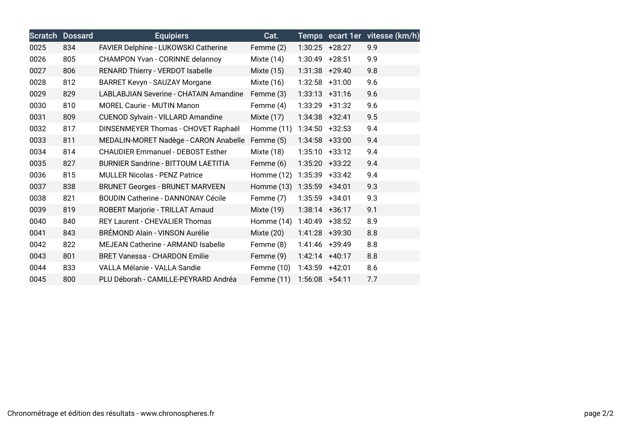| <b>Scratch</b> | <b>Dossard</b> | <b>Equipiers</b>                              | Cat.         |                  |          | Temps ecart 1er vitesse (km/h) |
|----------------|----------------|-----------------------------------------------|--------------|------------------|----------|--------------------------------|
| 0025           | 834            | FAVIER Delphine - LUKOWSKI Catherine          | Femme (2)    | $1:30:25$ +28:27 |          | 9.9                            |
| 0026           | 805            | <b>CHAMPON Yvan - CORINNE delannoy</b>        | Mixte (14)   | 1:30:49          | $+28:51$ | 9.9                            |
| 0027           | 806            | RENARD Thierry - VERDOT Isabelle              | Mixte (15)   | 1:31:38          | $+29:40$ | 9.8                            |
| 0028           | 812            | <b>BARRET Kevyn - SAUZAY Morgane</b>          | Mixte (16)   | 1:32:58          | $+31:00$ | 9.6                            |
| 0029           | 829            | <b>LABLABJIAN Severine - CHATAIN Amandine</b> | Femme (3)    | 1:33:13          | $+31:16$ | 9.6                            |
| 0030           | 810            | <b>MOREL Caurie - MUTIN Manon</b>             | Femme (4)    | 1:33:29          | $+31:32$ | 9.6                            |
| 0031           | 809            | <b>CUENOD Sylvain - VILLARD Amandine</b>      | Mixte (17)   | $1:34:38$ +32:41 |          | 9.5                            |
| 0032           | 817            | DINSENMEYER Thomas - CHOVET Raphaël           | Homme $(11)$ | 1:34:50          | $+32:53$ | 9.4                            |
| 0033           | 811            | MEDALIN-MORET Nadège - CARON Anabelle         | Femme (5)    | 1:34:58          | $+33:00$ | 9.4                            |
| 0034           | 814            | <b>CHAUDIER Emmanuel - DEBOST Esther</b>      | Mixte (18)   | 1:35:10          | $+33:12$ | 9.4                            |
| 0035           | 827            | <b>BURNIER Sandrine - BITTOUM LAETITIA</b>    | Femme (6)    | 1:35:20          | $+33:22$ | 9.4                            |
| 0036           | 815            | <b>MULLER Nicolas - PENZ Patrice</b>          | Homme (12)   | 1:35:39          | $+33:42$ | 9.4                            |
| 0037           | 838            | <b>BRUNET Georges - BRUNET MARVEEN</b>        | Homme (13)   | 1:35:59          | $+34:01$ | 9.3                            |
| 0038           | 821            | <b>BOUDIN Catherine - DANNONAY Cécile</b>     | Femme (7)    | 1:35:59          | $+34:01$ | 9.3                            |
| 0039           | 819            | ROBERT Marjorie - TRILLAT Arnaud              | Mixte (19)   | $1:38:14$ +36:17 |          | 9.1                            |
| 0040           | 840            | <b>REY Laurent - CHEVALIER Thomas</b>         | Homme (14)   | 1:40:49          | $+38:52$ | 8.9                            |
| 0041           | 843            | BRÉMOND Alain - VINSON Aurélie                | Mixte (20)   | 1:41:28          | +39:30   | 8.8                            |
| 0042           | 822            | <b>MEJEAN Catherine - ARMAND Isabelle</b>     | Femme (8)    | 1:41:46          | $+39:49$ | 8.8                            |
| 0043           | 801            | <b>BRET Vanessa - CHARDON Emilie</b>          | Femme (9)    | 1:42:14          | $+40:17$ | 8.8                            |
| 0044           | 833            | VALLA Mélanie - VALLA Sandie                  | Femme (10)   | 1:43:59          | $+42:01$ | 8.6                            |
| 0045           | 800            | PLU Déborah - CAMILLE-PEYRARD Andréa          | Femme (11)   | 1:56:08          | $+54:11$ | 7.7                            |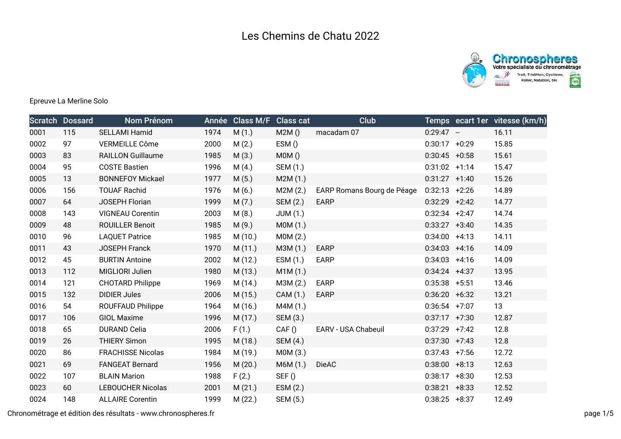

## Epreuve La Merline Solo

|      | <b>Scratch Dossard</b> | Nom Prénom               |      | Année Class M/F | <b>Class cat</b> | <b>Club</b>                |                  | Temps ecart 1er vitesse (km/h) |
|------|------------------------|--------------------------|------|-----------------|------------------|----------------------------|------------------|--------------------------------|
| 0001 | 115                    | SELLAMI Hamid            | 1974 | M(1.)           | M2M()            | macadam 07                 | $0:29:47 -$      | 16.11                          |
| 0002 | 97                     | VERMEILLE Côme           | 2000 | M(2.)           | ESM()            |                            | $0:30:17 +0:29$  | 15.85                          |
| 0003 | 83                     | <b>RAILLON Guillaume</b> | 1985 | M(3.)           | MOM()            |                            | $0:30:45 +0:58$  | 15.61                          |
| 0004 | 95                     | <b>COSTE Bastien</b>     | 1996 | M(4.)           | SEM (1.)         |                            | $0:31:02 +1:14$  | 15.47                          |
| 0005 | 13                     | <b>BONNEFOY Mickael</b>  | 1977 | M(5.)           | M2M(1.)          |                            | $0:31:27 +1:40$  | 15.26                          |
| 0006 | 156                    | <b>TOUAF Rachid</b>      | 1976 | M(6.)           | M2M(2.)          | EARP Romans Bourg de Péage | $0:32:13 +2:26$  | 14.89                          |
| 0007 | 64                     | <b>JOSEPH Florian</b>    | 1999 | M(7.)           | SEM (2.)         | <b>EARP</b>                | $0:32:29$ +2:42  | 14.77                          |
| 0008 | 143                    | <b>VIGNEAU Corentin</b>  | 2003 | M(8.)           | JUM(1.)          |                            | $0:32:34$ +2:47  | 14.74                          |
| 0009 | 48                     | <b>ROUILLER Benoit</b>   | 1985 | M(9.)           | MOM(1.)          |                            | $0:33:27 +3:40$  | 14.35                          |
| 0010 | 96                     | <b>LAQUET Patrice</b>    | 1985 | M (10.)         | MOM(2.)          |                            | $0:34:00 +4:13$  | 14.11                          |
| 0011 | 43                     | <b>JOSEPH Franck</b>     | 1970 | M(11.)          | M3M (1.)         | <b>EARP</b>                | $0:34:03$ +4:16  | 14.09                          |
| 0012 | 45                     | <b>BURTIN Antoine</b>    | 2002 | M (12.)         | ESM(1.)          | EARP                       | $0:34:03$ +4:16  | 14.09                          |
| 0013 | 112                    | MIGLIORI Julien          | 1980 | M(13.)          | M1M(1.)          |                            | $0:34:24$ +4:37  | 13.95                          |
| 0014 | 121                    | <b>CHOTARD Philippe</b>  | 1969 | M (14.)         | M3M (2.)         | <b>EARP</b>                | $0:35:38$ +5:51  | 13.46                          |
| 0015 | 132                    | <b>DIDIER Jules</b>      | 2006 | M (15.)         | CAM (1.)         | <b>EARP</b>                | $0:36:20 +6:32$  | 13.21                          |
| 0016 | 54                     | ROUFFAUD Philippe        | 1964 | M (16.)         | M4M (1.)         |                            | $0:36:54$ +7:07  | 13                             |
| 0017 | 106                    | <b>GIOL Maxime</b>       | 1996 | M (17.)         | SEM (3.)         |                            | $0:37:17$ +7:30  | 12.87                          |
| 0018 | 65                     | <b>DURAND Celia</b>      | 2006 | F(1.)           | CAF()            | EARV - USA Chabeuil        | $0:37:29$ +7:42  | 12.8                           |
| 0019 | 26                     | <b>THIERY Simon</b>      | 1995 | M (18.)         | SEM (4.)         |                            | $0:37:30 +7:43$  | 12.8                           |
| 0020 | 86                     | <b>FRACHISSE Nicolas</b> | 1984 | M (19.)         | MOM(3.)          |                            | $0:37:43$ +7:56  | 12.72                          |
| 0021 | 69                     | <b>FANGEAT Bernard</b>   | 1956 | M(20.)          | M6M (1.)         | DieAC                      | $0:38:00 + 8:13$ | 12.63                          |
| 0022 | 107                    | <b>BLAIN Marion</b>      | 1988 | F(2.)           | SEF()            |                            | $0:38:17 + 8:30$ | 12.53                          |
| 0023 | 60                     | <b>LEBOUCHER Nicolas</b> | 2001 | M(21.)          | ESM(2.)          |                            | $0:38:21 + 8:33$ | 12.52                          |
| 0024 | 148                    | <b>ALLAIRE Corentin</b>  | 1999 | M(22.)          | SEM (5.)         |                            | $0:38:25 + 8:37$ | 12.49                          |

Chronométrage et édition des résultats - www.chronospheres.fr page 1/5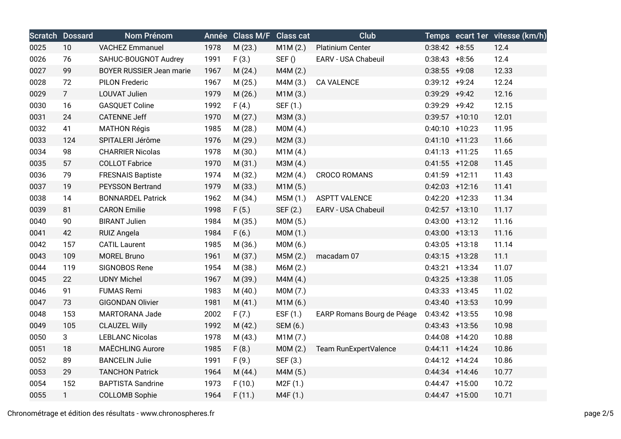|      | <b>Scratch Dossard</b> | Nom Prénom               |      | Année Class M/F | <b>Class cat</b> | <b>Club</b>                |                   |                  | Temps ecart 1er vitesse (km/h) |
|------|------------------------|--------------------------|------|-----------------|------------------|----------------------------|-------------------|------------------|--------------------------------|
| 0025 | 10                     | <b>VACHEZ Emmanuel</b>   | 1978 | M(23.)          | M1M(2.)          | <b>Platinium Center</b>    | $0:38:42 + 8:55$  |                  | 12.4                           |
| 0026 | 76                     | SAHUC-BOUGNOT Audrey     | 1991 | F(3.)           | SEF()            | EARV - USA Chabeuil        | $0:38:43 + 8:56$  |                  | 12.4                           |
| 0027 | 99                     | BOYER RUSSIER Jean marie | 1967 | M(24.)          | M4M(2.)          |                            | $0:38:55$ +9:08   |                  | 12.33                          |
| 0028 | 72                     | <b>PILON Frederic</b>    | 1967 | M (25.)         | M4M (3.)         | <b>CA VALENCE</b>          | $0:39:12 +9:24$   |                  | 12.24                          |
| 0029 | $\overline{7}$         | LOUVAT Julien            | 1979 | M (26.)         | M1M(3.)          |                            | $0:39:29$ +9:42   |                  | 12.16                          |
| 0030 | 16                     | <b>GASQUET Coline</b>    | 1992 | F(4.)           | SEF (1.)         |                            | $0:39:29$ +9:42   |                  | 12.15                          |
| 0031 | 24                     | <b>CATENNE Jeff</b>      | 1970 | M(27.)          | M3M (3.)         |                            | $0:39:57$ +10:10  |                  | 12.01                          |
| 0032 | 41                     | <b>MATHON Régis</b>      | 1985 | M (28.)         | MOM(4.)          |                            | $0:40:10$ +10:23  |                  | 11.95                          |
| 0033 | 124                    | SPITALERI Jérôme         | 1976 | M (29.)         | M2M(3.)          |                            | $0:41:10 +11:23$  |                  | 11.66                          |
| 0034 | 98                     | <b>CHARRIER Nicolas</b>  | 1978 | M (30.)         | M1M(4.)          |                            | $0:41:13 +11:25$  |                  | 11.65                          |
| 0035 | 57                     | <b>COLLOT Fabrice</b>    | 1970 | M(31.)          | M3M (4.)         |                            | $0:41:55$ +12:08  |                  | 11.45                          |
| 0036 | 79                     | <b>FRESNAIS Baptiste</b> | 1974 | M (32.)         | M2M(4.)          | <b>CROCO ROMANS</b>        | $0:41:59$ +12:11  |                  | 11.43                          |
| 0037 | 19                     | <b>PEYSSON Bertrand</b>  | 1979 | M (33.)         | M1M(5.)          |                            | $0:42:03$ +12:16  |                  | 11.41                          |
| 0038 | 14                     | <b>BONNARDEL Patrick</b> | 1962 | M (34.)         | M5M (1.)         | <b>ASPTT VALENCE</b>       | $0:42:20$ +12:33  |                  | 11.34                          |
| 0039 | 81                     | <b>CARON Emilie</b>      | 1998 | F(5.)           | SEF (2.)         | EARV - USA Chabeuil        | $0:42:57$ +13:10  |                  | 11.17                          |
| 0040 | 90                     | <b>BIRANT Julien</b>     | 1984 | M (35.)         | M0M (5.)         |                            |                   | $0:43:00$ +13:12 | 11.16                          |
| 0041 | 42                     | <b>RUIZ Angela</b>       | 1984 | F(6.)           | MOM(1.)          |                            | $0:43:00$ +13:13  |                  | 11.16                          |
| 0042 | 157                    | <b>CATIL Laurent</b>     | 1985 | M (36.)         | M0M (6.)         |                            | $0:43:05$ +13:18  |                  | 11.14                          |
| 0043 | 109                    | <b>MOREL Bruno</b>       | 1961 | M (37.)         | M5M(2.)          | macadam 07                 | $0:43:15$ +13:28  |                  | 11.1                           |
| 0044 | 119                    | SIGNOBOS Rene            | 1954 | M (38.)         | M6M (2.)         |                            | $0:43:21$ +13:34  |                  | 11.07                          |
| 0045 | 22                     | <b>UDNY Michel</b>       | 1967 | M (39.)         | M4M(4.)          |                            | $0:43:25$ +13:38  |                  | 11.05                          |
| 0046 | 91                     | <b>FUMAS Remi</b>        | 1983 | M(40.)          | MOM(7.)          |                            | $0:43:33 +13:45$  |                  | 11.02                          |
| 0047 | 73                     | <b>GIGONDAN Olivier</b>  | 1981 | M(41.)          | M1M(6.)          |                            | $0:43:40 +13:53$  |                  | 10.99                          |
| 0048 | 153                    | MARTORANA Jade           | 2002 | F(7.)           | ESF $(1.)$       | EARP Romans Bourg de Péage | $0:43:42$ +13:55  |                  | 10.98                          |
| 0049 | 105                    | <b>CLAUZEL Willy</b>     | 1992 | M(42.)          | SEM (6.)         |                            | $0:43:43$ +13:56  |                  | 10.98                          |
| 0050 | 3                      | <b>LEBLANC Nicolas</b>   | 1978 | M (43.)         | M1M(7.)          |                            | $0:44:08$ +14:20  |                  | 10.88                          |
| 0051 | 18                     | <b>MAËCHLING Aurore</b>  | 1985 | F(8.)           | MOM(2.)          | Team RunExpertValence      | $0:44:11 + 14:24$ |                  | 10.86                          |
| 0052 | 89                     | <b>BANCELIN Julie</b>    | 1991 | F(9.)           | SEF (3.)         |                            | $0:44:12 +14:24$  |                  | 10.86                          |
| 0053 | 29                     | <b>TANCHON Patrick</b>   | 1964 | M (44.)         | M4M (5.)         |                            |                   | $0:44:34$ +14:46 | 10.77                          |
| 0054 | 152                    | <b>BAPTISTA Sandrine</b> | 1973 | F(10.)          | M2F (1.)         |                            | $0:44:47$ +15:00  |                  | 10.72                          |
| 0055 | $\mathbf{1}$           | <b>COLLOMB Sophie</b>    | 1964 | F(11.)          | M4F (1.)         |                            | $0:44:47$ +15:00  |                  | 10.71                          |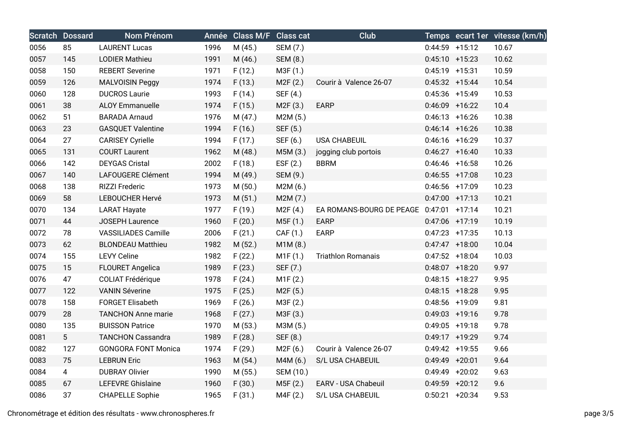|      | <b>Scratch Dossard</b> | Nom Prénom                 |      | Année Class M/F | <b>Class cat</b>      | Club                                    |                   | Temps ecart 1er vitesse (km/h) |
|------|------------------------|----------------------------|------|-----------------|-----------------------|-----------------------------------------|-------------------|--------------------------------|
| 0056 | 85                     | <b>LAURENT Lucas</b>       | 1996 | M (45.)         | SEM (7.)              |                                         | $0:44:59$ +15:12  | 10.67                          |
| 0057 | 145                    | <b>LODIER Mathieu</b>      | 1991 | M (46.)         | SEM (8.)              |                                         | $0:45:10 + 15:23$ | 10.62                          |
| 0058 | 150                    | <b>REBERT Severine</b>     | 1971 | F(12.)          | M3F(1.)               |                                         | $0:45:19$ +15:31  | 10.59                          |
| 0059 | 126                    | <b>MALVOISIN Peggy</b>     | 1974 | F(13.)          | M2F(2.)               | Courir à Valence 26-07                  | $0:45:32 +15:44$  | 10.54                          |
| 0060 | 128                    | <b>DUCROS Laurie</b>       | 1993 | F(14.)          | SEF (4.)              |                                         | $0:45:36$ +15:49  | 10.53                          |
| 0061 | 38                     | <b>ALOY Emmanuelle</b>     | 1974 | F(15.)          | M2F(3.)               | <b>EARP</b>                             | $0:46:09$ +16:22  | 10.4                           |
| 0062 | 51                     | <b>BARADA Arnaud</b>       | 1976 | M (47.)         | M2M(5.)               |                                         | $0:46:13 + 16:26$ | 10.38                          |
| 0063 | 23                     | <b>GASQUET Valentine</b>   | 1994 | F(16.)          | SEF (5.)              |                                         | $0:46:14$ +16:26  | 10.38                          |
| 0064 | 27                     | <b>CARISEY Cyrielle</b>    | 1994 | F(17.)          | SEF (6.)              | <b>USA CHABEUIL</b>                     | $0:46:16$ +16:29  | 10.37                          |
| 0065 | 131                    | <b>COURT Laurent</b>       | 1962 | M (48.)         | M5M (3.)              | jogging club portois                    | $0:46:27$ +16:40  | 10.33                          |
| 0066 | 142                    | <b>DEYGAS Cristal</b>      | 2002 | F(18.)          | EST(2.)               | <b>BBRM</b>                             | $0:46:46$ +16:58  | 10.26                          |
| 0067 | 140                    | LAFOUGERE Clément          | 1994 | M (49.)         | SEM (9.)              |                                         | $0:46:55$ +17:08  | 10.23                          |
| 0068 | 138                    | RIZZI Frederic             | 1973 | M(50.)          | M2M(6.)               |                                         | $0:46:56$ +17:09  | 10.23                          |
| 0069 | 58                     | LEBOUCHER Hervé            | 1973 | M(51.)          | M2M(7.)               |                                         | $0:47:00$ +17:13  | 10.21                          |
| 0070 | 134                    | <b>LARAT Hayate</b>        | 1977 | F(19.)          | M2F (4.)              | EA ROMANS-BOURG DE PEAGE 0:47:01 +17:14 |                   | 10.21                          |
| 0071 | 44                     | JOSEPH Laurence            | 1960 | F(20.)          | M5F (1.)              | <b>EARP</b>                             | $0:47:06$ +17:19  | 10.19                          |
| 0072 | 78                     | <b>VASSILIADES Camille</b> | 2006 | F(21.)          | CAF (1.)              | <b>EARP</b>                             | $0:47:23$ +17:35  | 10.13                          |
| 0073 | 62                     | <b>BLONDEAU Matthieu</b>   | 1982 | M(52.)          | M1M(8.)               |                                         | $0:47:47$ +18:00  | 10.04                          |
| 0074 | 155                    | <b>LEVY Celine</b>         | 1982 | F(22.)          | M1F(1.)               | <b>Triathlon Romanais</b>               | $0:47:52$ +18:04  | 10.03                          |
| 0075 | 15                     | FLOURET Angelica           | 1989 | F(23.)          | SEF (7.)              |                                         | $0:48:07$ +18:20  | 9.97                           |
| 0076 | 47                     | <b>COLIAT Frédérique</b>   | 1978 | F(24.)          | M1F(2.)               |                                         | $0:48:15$ +18:27  | 9.95                           |
| 0077 | 122                    | <b>VANIN Séverine</b>      | 1975 | F(25.)          | M <sub>2</sub> F (5.) |                                         | $0:48:15$ +18:28  | 9.95                           |
| 0078 | 158                    | <b>FORGET Elisabeth</b>    | 1969 | F(26.)          | M3F (2.)              |                                         | $0:48:56$ +19:09  | 9.81                           |
| 0079 | 28                     | <b>TANCHON Anne marie</b>  | 1968 | F(27.)          | M3F (3.)              |                                         | $0:49:03$ +19:16  | 9.78                           |
| 0080 | 135                    | <b>BUISSON Patrice</b>     | 1970 | M (53.)         | M3M (5.)              |                                         | $0:49:05$ +19:18  | 9.78                           |
| 0081 | 5                      | <b>TANCHON Cassandra</b>   | 1989 | F(28.)          | SEF (8.)              |                                         | $0:49:17$ +19:29  | 9.74                           |
| 0082 | 127                    | <b>GONGORA FONT Monica</b> | 1974 | F(29.)          | M2F(6.)               | Courir à Valence 26-07                  | $0:49:42$ +19:55  | 9.66                           |
| 0083 | 75                     | <b>LEBRUN Eric</b>         | 1963 | M(54.)          | M4M (6.)              | S/L USA CHABEUIL                        | $0:49:49$ +20:01  | 9.64                           |
| 0084 | $\overline{4}$         | <b>DUBRAY Olivier</b>      | 1990 | M (55.)         | SEM (10.)             |                                         | $0:49:49$ +20:02  | 9.63                           |
| 0085 | 67                     | <b>LEFEVRE Ghislaine</b>   | 1960 | F(30.)          | M5F(2.)               | EARV - USA Chabeuil                     | $0:49:59$ +20:12  | 9.6                            |
| 0086 | 37                     | <b>CHAPELLE Sophie</b>     | 1965 | F(31.)          | M4F (2.)              | S/L USA CHABEUIL                        | $0:50:21 + 20:34$ | 9.53                           |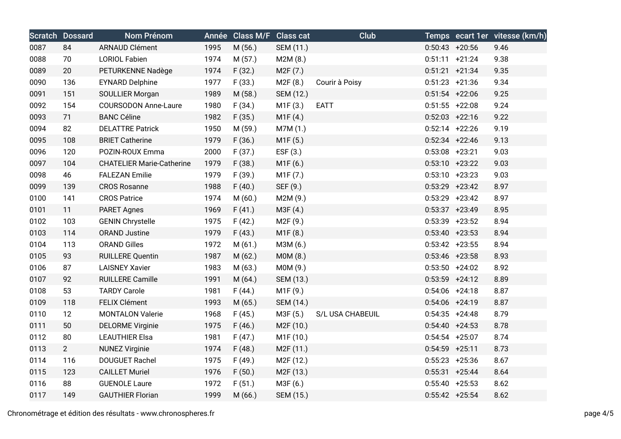|      | <b>Scratch Dossard</b> | Nom Prénom                       |      | Année Class M/F Class cat |                        | Club             |                   |                   | Temps ecart 1er vitesse (km/h) |
|------|------------------------|----------------------------------|------|---------------------------|------------------------|------------------|-------------------|-------------------|--------------------------------|
| 0087 | 84                     | <b>ARNAUD Clément</b>            | 1995 | M (56.)                   | SEM (11.)              |                  |                   | $0:50:43$ +20:56  | 9.46                           |
| 0088 | 70                     | <b>LORIOL Fabien</b>             | 1974 | M(57.)                    | M2M(8.)                |                  |                   | $0:51:11 + 21:24$ | 9.38                           |
| 0089 | 20                     | PETURKENNE Nadège                | 1974 | F(32.)                    | M <sub>2</sub> F (7.)  |                  | $0:51:21 + 21:34$ |                   | 9.35                           |
| 0090 | 136                    | <b>EYNARD Delphine</b>           | 1977 | F(33.)                    | M2F (8.)               | Courir à Poisy   |                   | $0:51:23$ +21:36  | 9.34                           |
| 0091 | 151                    | SOULLIER Morgan                  | 1989 | M (58.)                   | SEM (12.)              |                  |                   | $0:51:54$ +22:06  | 9.25                           |
| 0092 | 154                    | <b>COURSODON Anne-Laure</b>      | 1980 | F(34.)                    | M1F(3.)                | <b>EATT</b>      |                   | $0:51:55$ +22:08  | 9.24                           |
| 0093 | 71                     | <b>BANC Céline</b>               | 1982 | F(35.)                    | M1F(4.)                |                  |                   | $0:52:03$ +22:16  | 9.22                           |
| 0094 | 82                     | <b>DELATTRE Patrick</b>          | 1950 | M (59.)                   | M7M (1.)               |                  |                   | $0:52:14$ +22:26  | 9.19                           |
| 0095 | 108                    | <b>BRIET Catherine</b>           | 1979 | F(36.)                    | M1F (5.)               |                  |                   | $0:52:34$ +22:46  | 9.13                           |
| 0096 | 120                    | POZIN-ROUX Emma                  | 2000 | F(37.)                    | EST(3.)                |                  | $0:53:08$ +23:21  |                   | 9.03                           |
| 0097 | 104                    | <b>CHATELIER Marie-Catherine</b> | 1979 | F(38.)                    | M1F(6.)                |                  |                   | $0:53:10 +23:22$  | 9.03                           |
| 0098 | 46                     | <b>FALEZAN Emilie</b>            | 1979 | F(39.)                    | M1F(7.)                |                  | $0:53:10 + 23:23$ |                   | 9.03                           |
| 0099 | 139                    | <b>CROS Rosanne</b>              | 1988 | F(40.)                    | SEF (9.)               |                  |                   | $0:53:29$ +23:42  | 8.97                           |
| 0100 | 141                    | <b>CROS Patrice</b>              | 1974 | M(60.)                    | M2M (9.)               |                  |                   | $0:53:29$ +23:42  | 8.97                           |
| 0101 | 11                     | <b>PARET Agnes</b>               | 1969 | F(41.)                    | M3F (4.)               |                  |                   | $0:53:37 +23:49$  | 8.95                           |
| 0102 | 103                    | <b>GENIN Chrystelle</b>          | 1975 | F(42.)                    | M2F (9.)               |                  |                   | $0:53:39$ +23:52  | 8.94                           |
| 0103 | 114                    | <b>ORAND Justine</b>             | 1979 | F(43.)                    | M1F(8.)                |                  |                   | $0:53:40 +23:53$  | 8.94                           |
| 0104 | 113                    | <b>ORAND Gilles</b>              | 1972 | M(61.)                    | M3M (6.)               |                  |                   | $0:53:42$ +23:55  | 8.94                           |
| 0105 | 93                     | <b>RUILLERE Quentin</b>          | 1987 | M(62.)                    | MOM(8.)                |                  | $0:53:46$ +23:58  |                   | 8.93                           |
| 0106 | 87                     | <b>LAISNEY Xavier</b>            | 1983 | M(63.)                    | M0M (9.)               |                  |                   | $0:53:50 + 24:02$ | 8.92                           |
| 0107 | 92                     | <b>RUILLERE Camille</b>          | 1991 | M(64.)                    | SEM (13.)              |                  |                   | $0:53:59$ +24:12  | 8.89                           |
| 0108 | 53                     | <b>TARDY Carole</b>              | 1981 | F(44.)                    | M1F (9.)               |                  | $0:54:06$ +24:18  |                   | 8.87                           |
| 0109 | 118                    | FELIX Clément                    | 1993 | M (65.)                   | SEM (14.)              |                  |                   | $0:54:06$ +24:19  | 8.87                           |
| 0110 | 12                     | <b>MONTALON Valerie</b>          | 1968 | F(45.)                    | M3F (5.)               | S/L USA CHABEUIL | $0:54:35$ +24:48  |                   | 8.79                           |
| 0111 | 50                     | <b>DELORME Virginie</b>          | 1975 | F(46.)                    | M2F (10.)              |                  | $0:54:40 +24:53$  |                   | 8.78                           |
| 0112 | 80                     | <b>LEAUTHIER Elsa</b>            | 1981 | F(47.)                    | M1F (10.)              |                  |                   | $0:54:54$ +25:07  | 8.74                           |
| 0113 | $2^{\circ}$            | <b>NUNEZ Virginie</b>            | 1974 | F(48.)                    | M <sub>2</sub> F (11.) |                  | $0:54:59$ +25:11  |                   | 8.73                           |
| 0114 | 116                    | <b>DOUGUET Rachel</b>            | 1975 | F(49.)                    | M <sub>2</sub> F (12.) |                  |                   | $0:55:23$ +25:36  | 8.67                           |
| 0115 | 123                    | <b>CAILLET Muriel</b>            | 1976 | F(50.)                    | M <sub>2</sub> F (13.) |                  |                   | $0:55:31 + 25:44$ | 8.64                           |
| 0116 | 88                     | <b>GUENOLE Laure</b>             | 1972 | F(51.)                    | M3F (6.)               |                  | $0:55:40 + 25:53$ |                   | 8.62                           |
| 0117 | 149                    | <b>GAUTHIER Florian</b>          | 1999 | M(66.)                    | SEM (15.)              |                  | $0:55:42$ +25:54  |                   | 8.62                           |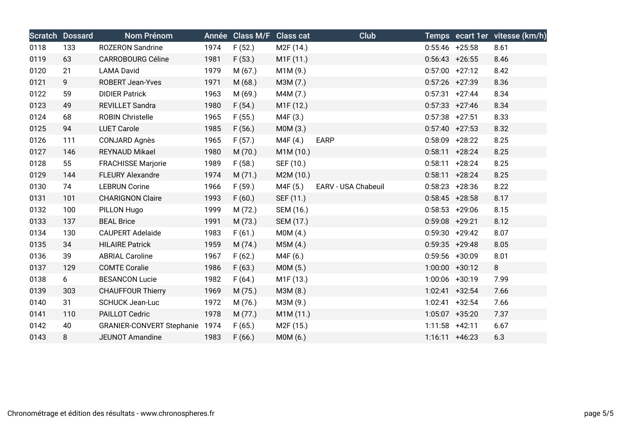|      | <b>Scratch Dossard</b> | Nom Prénom                     |      | Année Class M/F Class cat |                        | <b>Club</b>         |                   |                   | Temps ecart 1er vitesse (km/h) |
|------|------------------------|--------------------------------|------|---------------------------|------------------------|---------------------|-------------------|-------------------|--------------------------------|
| 0118 | 133                    | <b>ROZERON Sandrine</b>        | 1974 | F(52.)                    | M <sub>2</sub> F (14.) |                     | $0:55:46$ +25:58  |                   | 8.61                           |
| 0119 | 63                     | <b>CARROBOURG Céline</b>       | 1981 | F(53.)                    | M1F (11.)              |                     | $0:56:43$ +26:55  |                   | 8.46                           |
| 0120 | 21                     | <b>LAMA David</b>              | 1979 | M(67.)                    | M1M (9.)               |                     |                   | $0:57:00$ +27:12  | 8.42                           |
| 0121 | 9                      | <b>ROBERT Jean-Yves</b>        | 1971 | M(68.)                    | M3M (7.)               |                     | $0:57:26$ +27:39  |                   | 8.36                           |
| 0122 | 59                     | <b>DIDIER Patrick</b>          | 1963 | M (69.)                   | M4M (7.)               |                     | $0:57:31 +27:44$  |                   | 8.34                           |
| 0123 | 49                     | REVILLET Sandra                | 1980 | F(54.)                    | M1F (12.)              |                     | $0:57:33 +27:46$  |                   | 8.34                           |
| 0124 | 68                     | <b>ROBIN Christelle</b>        | 1965 | F(55.)                    | M4F (3.)               |                     | $0:57:38$ +27:51  |                   | 8.33                           |
| 0125 | 94                     | <b>LUET Carole</b>             | 1985 | F(56.)                    | MOM(3.)                |                     | $0:57:40 +27:53$  |                   | 8.32                           |
| 0126 | 111                    | CONJARD Agnès                  | 1965 | F(57.)                    | M4F (4.)               | <b>EARP</b>         |                   | $0:58:09$ +28:22  | 8.25                           |
| 0127 | 146                    | REYNAUD Mikael                 | 1980 | M (70.)                   | M1M (10.)              |                     | $0:58:11 + 28:24$ |                   | 8.25                           |
| 0128 | 55                     | <b>FRACHISSE Marjorie</b>      | 1989 | F(58.)                    | SEF (10.)              |                     | $0:58:11 + 28:24$ |                   | 8.25                           |
| 0129 | 144                    | <b>FLEURY Alexandre</b>        | 1974 | M(71.)                    | M2M (10.)              |                     | $0:58:11 + 28:24$ |                   | 8.25                           |
| 0130 | 74                     | <b>LEBRUN Corine</b>           | 1966 | F(59.)                    | M4F (5.)               | EARV - USA Chabeuil | $0:58:23 + 28:36$ |                   | 8.22                           |
| 0131 | 101                    | <b>CHARIGNON Claire</b>        | 1993 | F(60.)                    | SEF (11.)              |                     | $0:58:45$ +28:58  |                   | 8.17                           |
| 0132 | 100                    | PILLON Hugo                    | 1999 | M(72.)                    | SEM (16.)              |                     | $0:58:53$ +29:06  |                   | 8.15                           |
| 0133 | 137                    | <b>BEAL Brice</b>              | 1991 | M (73.)                   | SEM (17.)              |                     | $0:59:08$ +29:21  |                   | 8.12                           |
| 0134 | 130                    | <b>CAUPERT Adelaide</b>        | 1983 | F(61.)                    | MOM(4.)                |                     |                   | $0:59:30 + 29:42$ | 8.07                           |
| 0135 | 34                     | <b>HILAIRE Patrick</b>         | 1959 | M(74.)                    | M5M(4.)                |                     | $0:59:35$ +29:48  |                   | 8.05                           |
| 0136 | 39                     | <b>ABRIAL Caroline</b>         | 1967 | F(62.)                    | M4F (6.)               |                     | $0:59:56$ +30:09  |                   | 8.01                           |
| 0137 | 129                    | <b>COMTE Coralie</b>           | 1986 | F(63.)                    | MOM(5.)                |                     | $1:00:00$ +30:12  |                   | 8                              |
| 0138 | 6                      | <b>BESANCON Lucie</b>          | 1982 | F(64)                     | M <sub>1</sub> F (13.) |                     | 1:00:06 +30:19    |                   | 7.99                           |
| 0139 | 303                    | <b>CHAUFFOUR Thierry</b>       | 1969 | M(75.)                    | M3M (8.)               |                     |                   | $1:02:41$ +32:54  | 7.66                           |
| 0140 | 31                     | <b>SCHUCK Jean-Luc</b>         | 1972 | M (76.)                   | M3M (9.)               |                     |                   | $1:02:41$ +32:54  | 7.66                           |
| 0141 | 110                    | PAILLOT Cedric                 | 1978 | M(77.)                    | M1M (11.)              |                     | $1:05:07$ +35:20  |                   | 7.37                           |
| 0142 | 40                     | GRANIER-CONVERT Stephanie 1974 |      | F(65.)                    | M <sub>2</sub> F (15.) |                     | $1:11:58$ +42:11  |                   | 6.67                           |
| 0143 | 8                      | <b>JEUNOT Amandine</b>         | 1983 | F(66.)                    | M0M (6.)               |                     | $1:16:11 + 46:23$ |                   | 6.3                            |